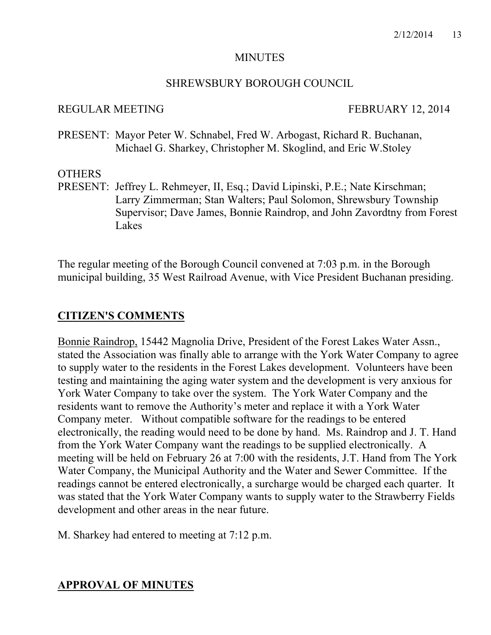#### **MINUTES**

#### SHREWSBURY BOROUGH COUNCIL

#### REGULAR MEETING FEBRUARY 12, 2014

PRESENT: Mayor Peter W. Schnabel, Fred W. Arbogast, Richard R. Buchanan, Michael G. Sharkey, Christopher M. Skoglind, and Eric W.Stoley

## **OTHERS**

PRESENT: Jeffrey L. Rehmeyer, II, Esq.; David Lipinski, P.E.; Nate Kirschman; Larry Zimmerman; Stan Walters; Paul Solomon, Shrewsbury Township Supervisor; Dave James, Bonnie Raindrop, and John Zavordtny from Forest Lakes

The regular meeting of the Borough Council convened at 7:03 p.m. in the Borough municipal building, 35 West Railroad Avenue, with Vice President Buchanan presiding.

# **CITIZEN'S COMMENTS**

Bonnie Raindrop, 15442 Magnolia Drive, President of the Forest Lakes Water Assn., stated the Association was finally able to arrange with the York Water Company to agree to supply water to the residents in the Forest Lakes development. Volunteers have been testing and maintaining the aging water system and the development is very anxious for York Water Company to take over the system. The York Water Company and the residents want to remove the Authority's meter and replace it with a York Water Company meter. Without compatible software for the readings to be entered electronically, the reading would need to be done by hand. Ms. Raindrop and J. T. Hand from the York Water Company want the readings to be supplied electronically. A meeting will be held on February 26 at 7:00 with the residents, J.T. Hand from The York Water Company, the Municipal Authority and the Water and Sewer Committee. If the readings cannot be entered electronically, a surcharge would be charged each quarter. It was stated that the York Water Company wants to supply water to the Strawberry Fields development and other areas in the near future.

M. Sharkey had entered to meeting at 7:12 p.m.

# **APPROVAL OF MINUTES**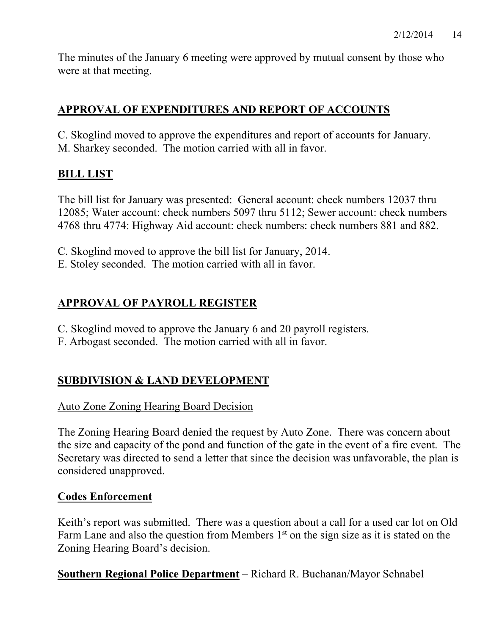The minutes of the January 6 meeting were approved by mutual consent by those who were at that meeting.

# **APPROVAL OF EXPENDITURES AND REPORT OF ACCOUNTS**

C. Skoglind moved to approve the expenditures and report of accounts for January. M. Sharkey seconded. The motion carried with all in favor.

# **BILL LIST**

The bill list for January was presented: General account: check numbers 12037 thru 12085; Water account: check numbers 5097 thru 5112; Sewer account: check numbers 4768 thru 4774: Highway Aid account: check numbers: check numbers 881 and 882.

C. Skoglind moved to approve the bill list for January, 2014.

E. Stoley seconded. The motion carried with all in favor.

# **APPROVAL OF PAYROLL REGISTER**

- C. Skoglind moved to approve the January 6 and 20 payroll registers.
- F. Arbogast seconded. The motion carried with all in favor.

# **SUBDIVISION & LAND DEVELOPMENT**

## Auto Zone Zoning Hearing Board Decision

The Zoning Hearing Board denied the request by Auto Zone. There was concern about the size and capacity of the pond and function of the gate in the event of a fire event. The Secretary was directed to send a letter that since the decision was unfavorable, the plan is considered unapproved.

## **Codes Enforcement**

Keith's report was submitted. There was a question about a call for a used car lot on Old Farm Lane and also the question from Members  $1<sup>st</sup>$  on the sign size as it is stated on the Zoning Hearing Board's decision.

**Southern Regional Police Department** – Richard R. Buchanan/Mayor Schnabel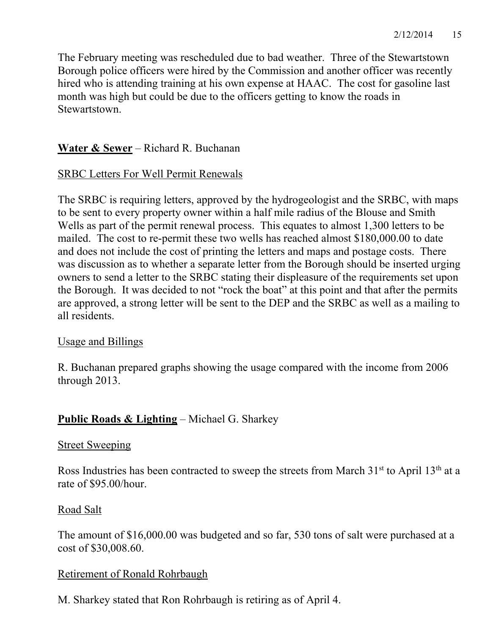The February meeting was rescheduled due to bad weather. Three of the Stewartstown Borough police officers were hired by the Commission and another officer was recently hired who is attending training at his own expense at HAAC. The cost for gasoline last month was high but could be due to the officers getting to know the roads in Stewartstown.

# **Water & Sewer** – Richard R. Buchanan

## SRBC Letters For Well Permit Renewals

The SRBC is requiring letters, approved by the hydrogeologist and the SRBC, with maps to be sent to every property owner within a half mile radius of the Blouse and Smith Wells as part of the permit renewal process. This equates to almost 1,300 letters to be mailed. The cost to re-permit these two wells has reached almost \$180,000.00 to date and does not include the cost of printing the letters and maps and postage costs. There was discussion as to whether a separate letter from the Borough should be inserted urging owners to send a letter to the SRBC stating their displeasure of the requirements set upon the Borough. It was decided to not "rock the boat" at this point and that after the permits are approved, a strong letter will be sent to the DEP and the SRBC as well as a mailing to all residents.

## Usage and Billings

R. Buchanan prepared graphs showing the usage compared with the income from 2006 through 2013.

## **Public Roads & Lighting** – Michael G. Sharkey

#### Street Sweeping

Ross Industries has been contracted to sweep the streets from March  $31<sup>st</sup>$  to April  $13<sup>th</sup>$  at a rate of \$95.00/hour.

## Road Salt

The amount of \$16,000.00 was budgeted and so far, 530 tons of salt were purchased at a cost of \$30,008.60.

#### Retirement of Ronald Rohrbaugh

M. Sharkey stated that Ron Rohrbaugh is retiring as of April 4.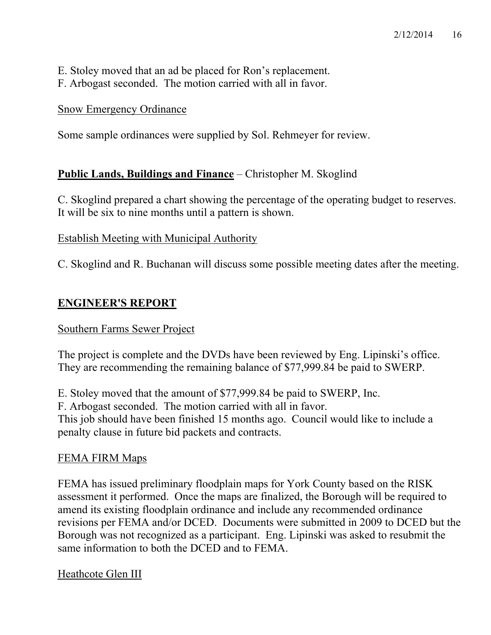- E. Stoley moved that an ad be placed for Ron's replacement.
- F. Arbogast seconded. The motion carried with all in favor.

# Snow Emergency Ordinance

Some sample ordinances were supplied by Sol. Rehmeyer for review.

# **Public Lands, Buildings and Finance** – Christopher M. Skoglind

C. Skoglind prepared a chart showing the percentage of the operating budget to reserves. It will be six to nine months until a pattern is shown.

# Establish Meeting with Municipal Authority

C. Skoglind and R. Buchanan will discuss some possible meeting dates after the meeting.

# **ENGINEER'S REPORT**

## Southern Farms Sewer Project

The project is complete and the DVDs have been reviewed by Eng. Lipinski's office. They are recommending the remaining balance of \$77,999.84 be paid to SWERP.

E. Stoley moved that the amount of \$77,999.84 be paid to SWERP, Inc.

F. Arbogast seconded. The motion carried with all in favor.

This job should have been finished 15 months ago. Council would like to include a penalty clause in future bid packets and contracts.

# FEMA FIRM Maps

FEMA has issued preliminary floodplain maps for York County based on the RISK assessment it performed. Once the maps are finalized, the Borough will be required to amend its existing floodplain ordinance and include any recommended ordinance revisions per FEMA and/or DCED. Documents were submitted in 2009 to DCED but the Borough was not recognized as a participant. Eng. Lipinski was asked to resubmit the same information to both the DCED and to FEMA.

# Heathcote Glen III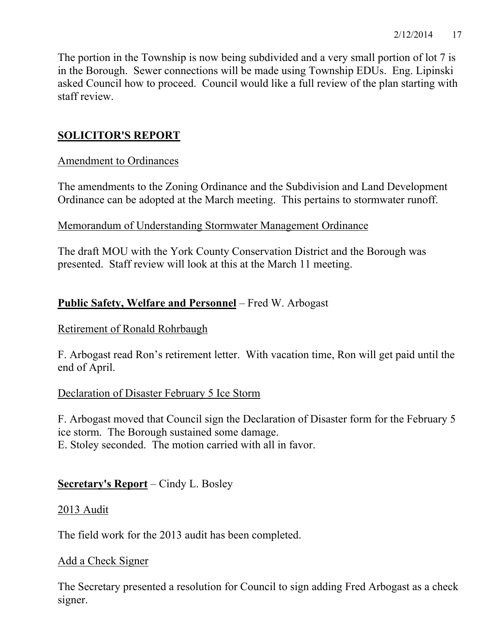The portion in the Township is now being subdivided and a very small portion of lot 7 is in the Borough. Sewer connections will be made using Township EDUs. Eng. Lipinski asked Council how to proceed. Council would like a full review of the plan starting with staff review.

# **SOLICITOR'S REPORT**

# Amendment to Ordinances

The amendments to the Zoning Ordinance and the Subdivision and Land Development Ordinance can be adopted at the March meeting. This pertains to stormwater runoff.

## Memorandum of Understanding Stormwater Management Ordinance

The draft MOU with the York County Conservation District and the Borough was presented. Staff review will look at this at the March 11 meeting.

# **Public Safety, Welfare and Personnel** – Fred W. Arbogast

## Retirement of Ronald Rohrbaugh

F. Arbogast read Ron's retirement letter. With vacation time, Ron will get paid until the end of April.

# Declaration of Disaster February 5 Ice Storm

F. Arbogast moved that Council sign the Declaration of Disaster form for the February 5 ice storm. The Borough sustained some damage. E. Stoley seconded. The motion carried with all in favor.

# **Secretary's Report** – Cindy L. Bosley

## 2013 Audit

The field work for the 2013 audit has been completed.

## Add a Check Signer

The Secretary presented a resolution for Council to sign adding Fred Arbogast as a check signer.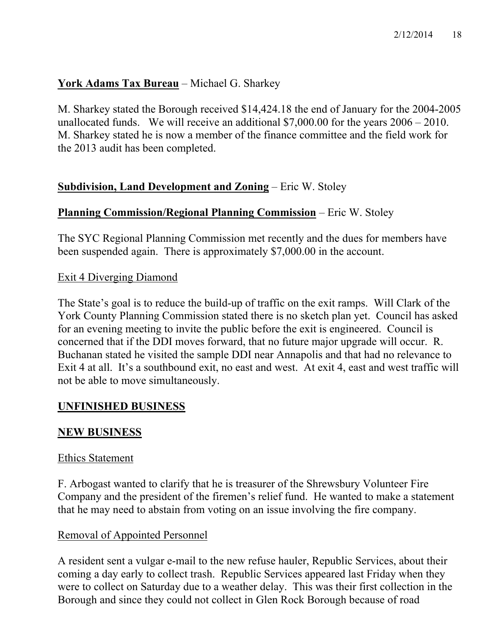# **York Adams Tax Bureau** – Michael G. Sharkey

M. Sharkey stated the Borough received \$14,424.18 the end of January for the 2004-2005 unallocated funds. We will receive an additional \$7,000.00 for the years 2006 – 2010. M. Sharkey stated he is now a member of the finance committee and the field work for the 2013 audit has been completed.

# **Subdivision, Land Development and Zoning** – Eric W. Stoley

## **Planning Commission/Regional Planning Commission** – Eric W. Stoley

The SYC Regional Planning Commission met recently and the dues for members have been suspended again. There is approximately \$7,000.00 in the account.

## Exit 4 Diverging Diamond

The State's goal is to reduce the build-up of traffic on the exit ramps. Will Clark of the York County Planning Commission stated there is no sketch plan yet. Council has asked for an evening meeting to invite the public before the exit is engineered. Council is concerned that if the DDI moves forward, that no future major upgrade will occur. R. Buchanan stated he visited the sample DDI near Annapolis and that had no relevance to Exit 4 at all. It's a southbound exit, no east and west. At exit 4, east and west traffic will not be able to move simultaneously.

# **UNFINISHED BUSINESS**

## **NEW BUSINESS**

#### Ethics Statement

F. Arbogast wanted to clarify that he is treasurer of the Shrewsbury Volunteer Fire Company and the president of the firemen's relief fund. He wanted to make a statement that he may need to abstain from voting on an issue involving the fire company.

## Removal of Appointed Personnel

A resident sent a vulgar e-mail to the new refuse hauler, Republic Services, about their coming a day early to collect trash. Republic Services appeared last Friday when they were to collect on Saturday due to a weather delay. This was their first collection in the Borough and since they could not collect in Glen Rock Borough because of road